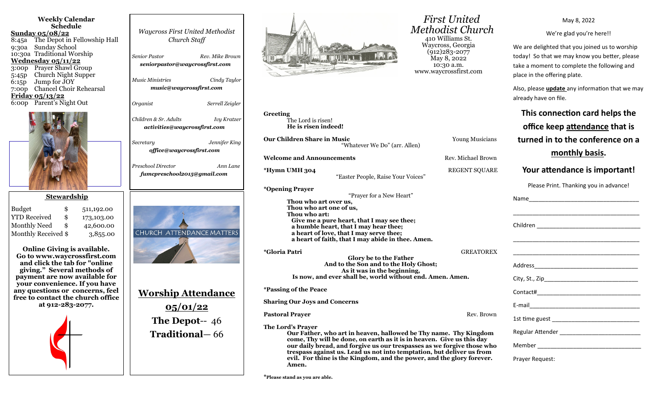| <b>Weekly Calendar</b> |                                    |  |  |  |
|------------------------|------------------------------------|--|--|--|
|                        | Schedule                           |  |  |  |
|                        | <u>Sunday 05/08/22</u>             |  |  |  |
|                        | 8:45a The Depot in Fellowship Hall |  |  |  |
|                        | 9:30a Sunday School                |  |  |  |
|                        | 10:30a Traditional Worship         |  |  |  |
|                        | <u>Wednesday 05/11/22</u>          |  |  |  |
|                        | 3:00p Prayer Shawl Group           |  |  |  |
|                        | 5:45p Church Night Supper          |  |  |  |
|                        | 6:15p Jump for JOY                 |  |  |  |
|                        | 7:00p Chancel Choir Rehearsal      |  |  |  |
|                        | <u>Friday 05/13/22</u>             |  |  |  |
|                        | 6:00p Parent's Night Out           |  |  |  |
|                        |                                    |  |  |  |
|                        |                                    |  |  |  |
|                        |                                    |  |  |  |
|                        |                                    |  |  |  |
|                        |                                    |  |  |  |
|                        |                                    |  |  |  |
|                        |                                    |  |  |  |

## **Stewardship**

| <b>Budget</b>       | \$<br>511,192.00 |
|---------------------|------------------|
| <b>YTD Received</b> | \$<br>173,103.00 |
| <b>Monthly Need</b> | \$<br>42,600.00  |
| Monthly Received \$ | 3,855.00         |

**Online Giving is available. Go to www.waycrossfirst.com and click the tab for "online giving." Several methods of payment are now available for your convenience. If you have any questions or concerns, feel free to contact the church office at 912-283-2077.**



| <b>Waycross First United Methodist</b><br>Church Staff                      |
|-----------------------------------------------------------------------------|
| <b>Senior Pastor</b><br>Rev. Mike Brown<br>seniorpastor@waycrossfirst.com   |
| <b>Music Ministries</b><br>Cindy Taylor<br>music@waycrossfirst.com          |
| Organist<br>Serrell Zeigler                                                 |
| Children & Sr. Adults<br><b>Ivy Kratzer</b><br>activities@waycrossfirst.com |
| Jennifer King<br>Secretary<br>office@waycrossfirst.com                      |
| Preschool Director<br>Ann Lane<br>fumcpreschool2015@gmail.com               |
| CHURCH ATTENDANCE MATTERS                                                   |
| <b>Worship Attendance</b>                                                   |
| 05/01/22<br><b>The Depot--</b> $46$                                         |



 *First United Methodist Church* 410 Williams St. Waycross, Georgia (912)283-2077 May 8, 2022 10:30 a.m. www.waycrossfirst.com

May 8, 2022

We're glad you're here!!

We are delighted that you joined us to worship today! So that we may know you better, please take a moment to complete the following and place in the offering plate.

Also, please **update** any information that we may already have on file.

| Greeting<br>The Lord is risen!<br>He is risen indeed!                       |                                                                                                                                                                                                                                                                                                                                                                       |                      | This connection card helps the<br>office keep attendance that is                                                      |
|-----------------------------------------------------------------------------|-----------------------------------------------------------------------------------------------------------------------------------------------------------------------------------------------------------------------------------------------------------------------------------------------------------------------------------------------------------------------|----------------------|-----------------------------------------------------------------------------------------------------------------------|
| <b>Our Children Share in Music</b>                                          | "Whatever We Do" (arr. Allen)                                                                                                                                                                                                                                                                                                                                         | Young Musicians      | turned in to the conference on a                                                                                      |
| <b>Welcome and Announcements</b>                                            |                                                                                                                                                                                                                                                                                                                                                                       | Rev. Michael Brown   | monthly basis.                                                                                                        |
| *Hymn UMH 304                                                               | "Easter People, Raise Your Voices"                                                                                                                                                                                                                                                                                                                                    | <b>REGENT SQUARE</b> | Your attendance is important!                                                                                         |
| <i>*</i> Opening Prayer<br>Thou who art over us,<br>Thou who art one of us, | "Prayer for a New Heart"                                                                                                                                                                                                                                                                                                                                              |                      | Please Print. Thanking you in advance!                                                                                |
| Thou who art:                                                               | Give me a pure heart, that I may see thee;<br>a humble heart, that I may hear thee;<br>a heart of love, that I may serve thee;<br>a heart of faith, that I may abide in thee. Amen.                                                                                                                                                                                   |                      |                                                                                                                       |
| <i>*Gloria Patri</i>                                                        | Glory be to the Father<br>And to the Son and to the Holy Ghost;<br>As it was in the beginning,<br>Is now, and ever shall be, world without end. Amen. Amen.                                                                                                                                                                                                           | <b>GREATOREX</b>     | <u> 1989 - Johann Harry Harry Harry Harry Harry Harry Harry Harry Harry Harry Harry Harry Harry Harry Harry Harry</u> |
| <i><b>*Passing of the Peace</b></i>                                         |                                                                                                                                                                                                                                                                                                                                                                       |                      |                                                                                                                       |
| <b>Sharing Our Joys and Concerns</b>                                        |                                                                                                                                                                                                                                                                                                                                                                       |                      |                                                                                                                       |
| <b>Pastoral Prayer</b>                                                      |                                                                                                                                                                                                                                                                                                                                                                       | Rev. Brown           |                                                                                                                       |
| The Lord's Prayer<br>Amen.                                                  | Our Father, who art in heaven, hallowed be Thy name. Thy Kingdom<br>come, Thy will be done, on earth as it is in heaven. Give us this day<br>our daily bread, and forgive us our trespasses as we forgive those who<br>trespass against us. Lead us not into temptation, but deliver us from<br>evil. For thine is the Kingdom, and the power, and the glory forever. |                      | Prayer Request:                                                                                                       |

**\*Please stand as you are able.**